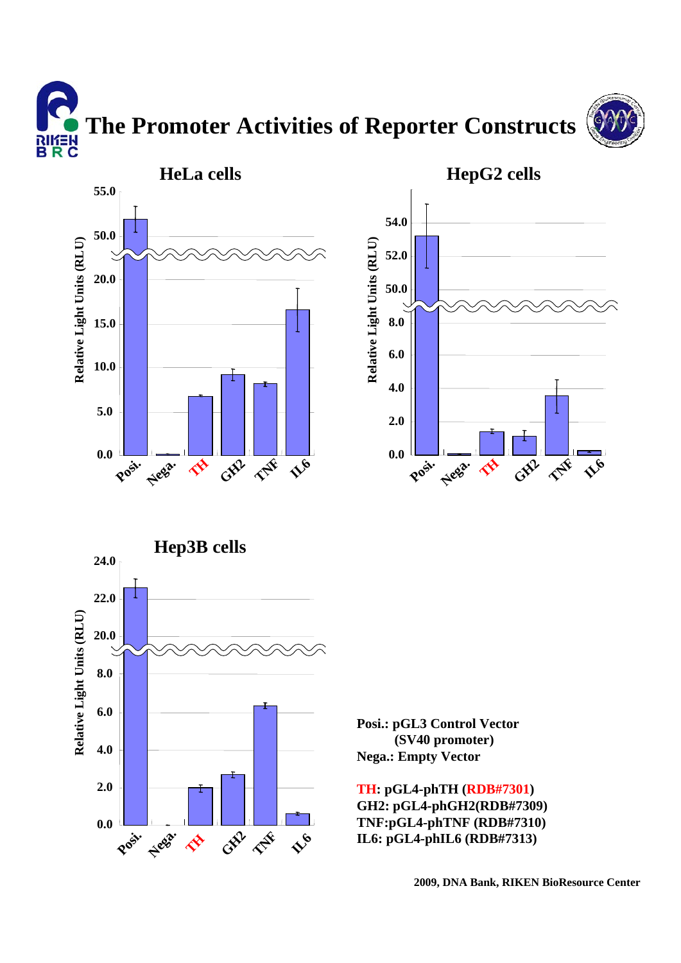**The Promoter Activities of Reporter Constructs** א∃*ו*וא<br>B R C









**Posi.: pGL3 Control Vector (SV40 promoter) Nega.: Empty Vector**

**TH: pGL4-phTH (RDB#7301) GH2: pGL4-phGH2(RDB#7309) TNF:pGL4-phTNF (RDB#7310) IL6: pGL4-phIL6 (RDB#7313)**

**2009, DNA Bank, RIKEN BioResource Center**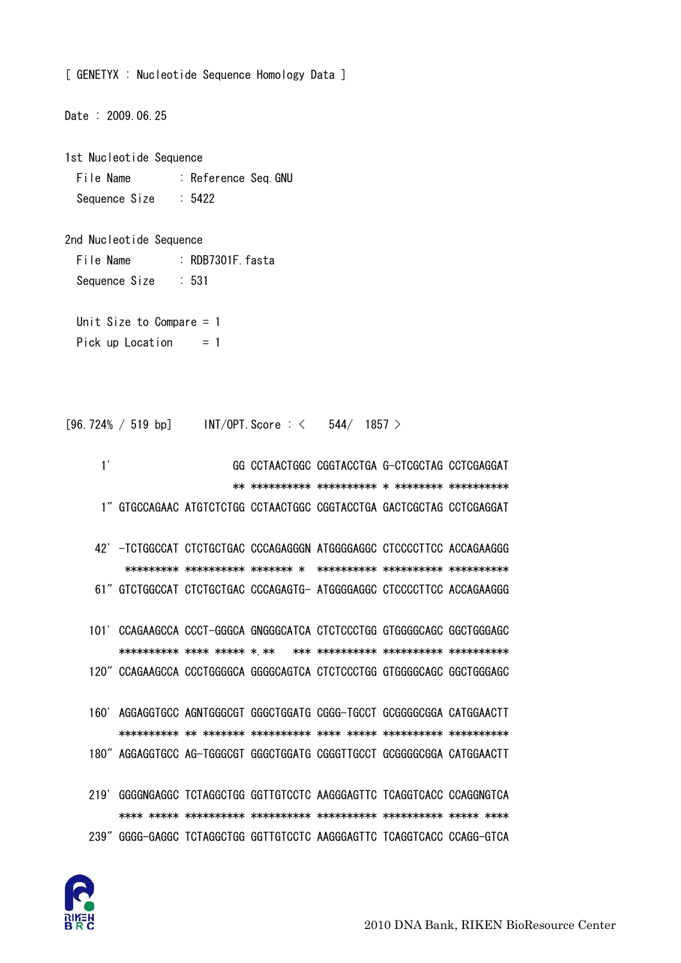

219' GGGGNGAGGC TCTAGGCTGG GGTTGTCCTC AAGGGAGTTC TCAGGTCACC CCAGGNGTCA 239" GGGG-GAGGC TCTAGGCTGG GGTTGTCCTC AAGGGAGTTC TCAGGTCACC CCAGG-GTCA

160' AGGAGGTGCC AGNTGGGCGT GGGCTGGATG CGGG-TGCCT GCGGGGCGGA CATGGAACTT 180" AGGAGGTGCC AG-TGGGCGT GGGCTGGATG CGGGTTGCCT GCGGGGCGGA CATGGAACTT

61" GTCTGGCCAT CTCTGCTGAC CCCAGAGTG- ATGGGGAGGC CTCCCCTTCC ACCAGAAGGG 101' CCAGAAGCCA CCCT-GGGCA GNGGGCATCA CTCTCCCTGG GTGGGGCAGC GGCTGGGAGC 

120" CCAGAAGCCA CCCTGGGGCA GGGGCAGTCA CTCTCCCTGG GTGGGGCAGC GGCTGGGAGC

 $1'$ GG CCTAACTGGC CGGTACCTGA G-CTCGCTAG CCTCGAGGAT 1" GTGCCAGAAC ATGTCTCTGG CCTAACTGGC CGGTACCTGA GACTCGCTAG CCTCGAGGAT 42' - TCTGGCCAT CTCTGCTGAC CCCAGAGGGN ATGGGGAGGC CTCCCCTTCC ACCAGAAGGG

 $[96.724\% / 519 bp]$  INT/OPT Score : < 544/ 1857 >

Unit Size to Compare  $= 1$ Pick up Location  $= 1$ 

File Name : Reference Seq. GNU Sequence Size  $: 5422$ 

2nd Nucleotide Sequence

File Name

Sequence Size

1st Nucleotide Sequence

 $: 531$ 

Date: 2009.06.25

[ GENETYX : Nucleotide Sequence Homology Data ]

: RDB7301F fasta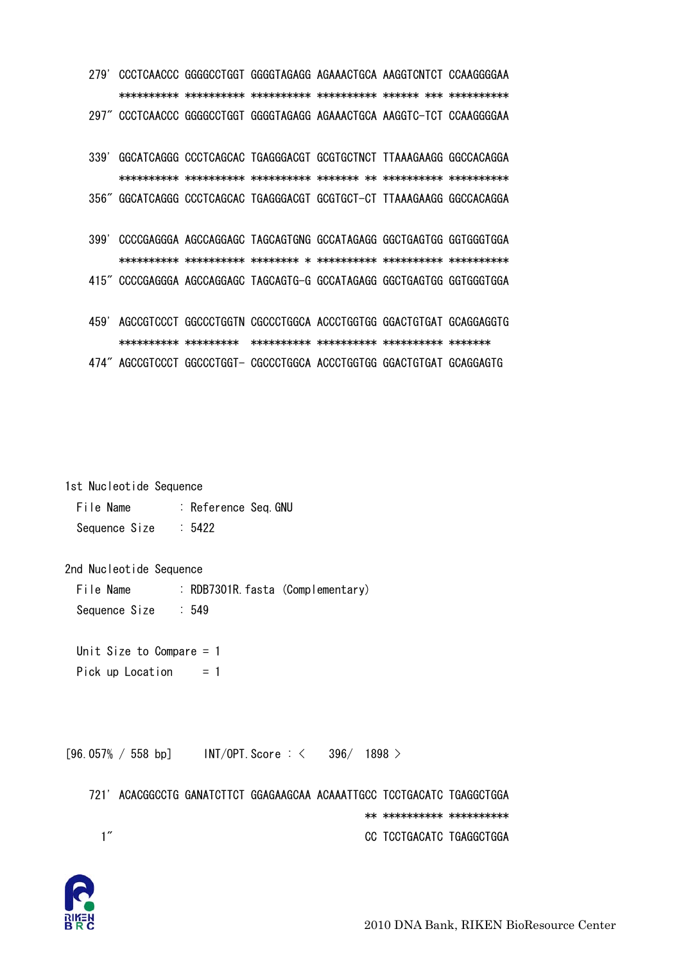279' CCCTCAACCC GGGGCCTGGT GGGGTAGAGG AGAAACTGCA AAGGTCNTCT CCAAGGGGAA 297" CCCTCAACCC GGGGCCTGGT GGGGTAGAGG AGAAACTGCA AAGGTC-TCT CCAAGGGGAA

339' GGCATCAGGG CCCTCAGCAC TGAGGGACGT GCGTGCTNCT TTAAAGAAGG GGCCACAGGA 356" GGCATCAGGG CCCTCAGCAC TGAGGGACGT GCGTGCT-CT TTAAAGAAGG GGCCACAGGA

399' CCCCGAGGGA AGCCAGGAGC TAGCAGTGNG GCCATAGAGG GGCTGAGTGG GGTGGGTGGA 415" CCCCGAGGGA AGCCAGGAGC TAGCAGTG-G GCCATAGAGG GGCTGAGTGG GGTGGGTGGA

459' AGCCGTCCCT GGCCCTGGTN CGCCCTGGCA ACCCTGGTGG GGACTGTGAT GCAGGAGGTG 474" AGCCGTCCCT GGCCCTGGT- CGCCCTGGCA ACCCTGGTGG GGACTGTGAT GCAGGAGTG

1st Nucleotide Sequence

File Name : Reference Seq.GNU  $\therefore$  5422 Sequence Size

2nd Nucleotide Sequence

File Name : RDB7301R. fasta (Complementary) Sequence Size  $:549$ 

Unit Size to Compare  $= 1$ Pick up Location  $= 1$ 

 $[96.057% / 558 bp]$  $INT/OPT$ . Score  $: <$  $396/1898$ 

721' ACACGGCCTG GANATCTTCT GGAGAAGCAA ACAAATTGCC TCCTGACATC TGAGGCTGGA \*\* \*\*\*\*\*\*\*\*\*\*\* \*\*\*\*\*\*\*\*\*\*\*  $1<sup>''</sup>$ CC TCCTGACATC TGAGGCTGGA